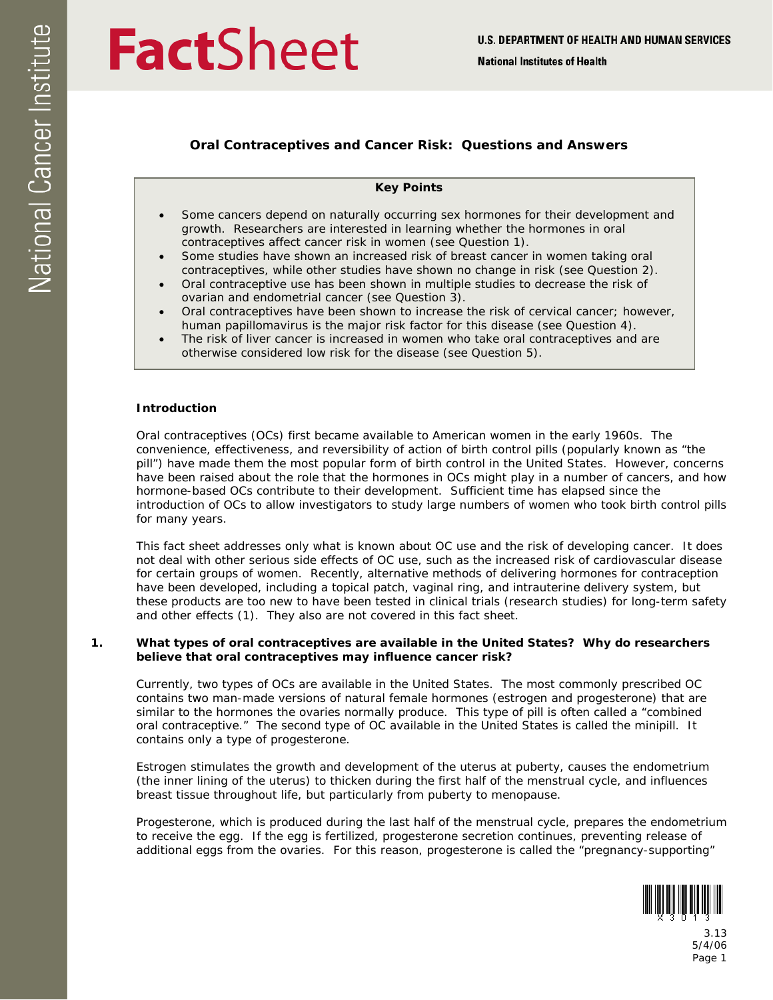# **FactSheet**

## **Oral Contraceptives and Cancer Risk: Questions and Answers**

## **Key Points**

- growth. Researchers are interested in learning whether the hormones in oral contraceptives affect cancer risk in women (see Question 1). Some cancers depend on naturally occurring sex hormones for their development and
- Some studies have shown an increased risk of breast cancer in women taking oral contraceptives, while other studies have shown no change in risk (see Question 2).
- Oral contraceptive use has been shown in multiple studies to decrease the risk of ovarian and endometrial cancer (see Question 3).
- Oral contraceptives have been shown to increase the risk of cervical cancer; however, human papillomavirus is the major risk factor for this disease (see Question 4).
- The risk of liver cancer is increased in women who take oral contraceptives and are otherwise considered low risk for the disease (see Question 5).

### **Introduction**

Oral contraceptives (OCs) first became available to American women in the early 1960s. The convenience, effectiveness, and reversibility of action of birth control pills (popularly known as "the pill") have made them the most popular form of birth control in the United States. However, concerns have been raised about the role that the hormones in OCs might play in a number of cancers, and how hormone-based OCs contribute to their development. Sufficient time has elapsed since the introduction of OCs to allow investigators to study large numbers of women who took birth control pills for many years.

 This fact sheet addresses only what is known about OC use and the risk of developing cancer. It does not deal with other serious side effects of OC use, such as the increased risk of cardiovascular disease for certain groups of women. Recently, alternative methods of delivering hormones for contraception have been developed, including a topical patch, vaginal ring, and intrauterine delivery system, but these products are too new to have been tested in clinical trials (research studies) for long-term safety and other effects (1). They also are not covered in this fact sheet.

## **1. What types of oral contraceptives are available in the United States? Why do researchers believe that oral contraceptives may influence cancer risk?**

Currently, two types of OCs are available in the United States. The most commonly prescribed OC contains two man-made versions of natural female hormones (estrogen and progesterone) that are similar to the hormones the ovaries normally produce. This type of pill is often called a "combined oral contraceptive." The second type of OC available in the United States is called the minipill. It contains only a type of progesterone.

breast tissue throughout life, but particularly from puberty to menopause. Estrogen stimulates the growth and development of the uterus at puberty, causes the endometrium (the inner lining of the uterus) to thicken during the first half of the menstrual cycle, and influences

Progesterone, which is produced during the last half of the menstrual cycle, prepares the endometrium to receive the egg. If the egg is fertilized, progesterone secretion continues, preventing release of additional eggs from the ovaries. For this reason, progesterone is called the "pregnancy-supporting"



3.13 5/4/06 Page 1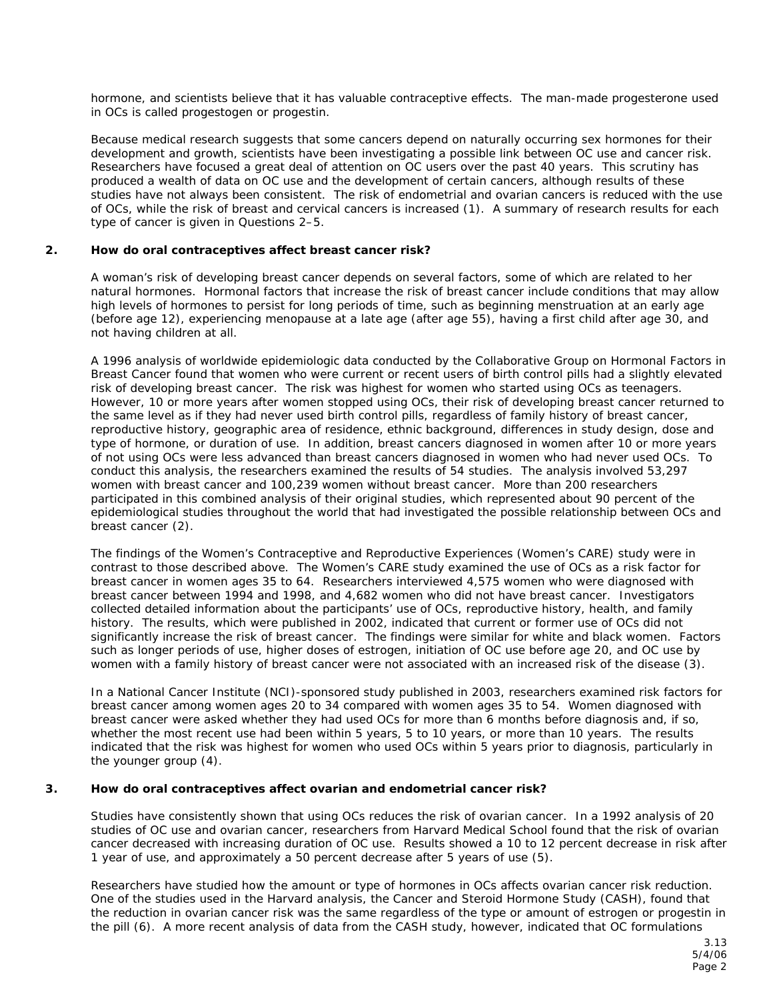hormone, and scientists believe that it has valuable contraceptive effects. The man-made progesterone used in OCs is called progestogen or progestin.

development and growth, scientists have been investigating a possible link between OC use and cancer risk. Because medical research suggests that some cancers depend on naturally occurring sex hormones for their Researchers have focused a great deal of attention on OC users over the past 40 years. This scrutiny has produced a wealth of data on OC use and the development of certain cancers, although results of these studies have not always been consistent. The risk of endometrial and ovarian cancers is reduced with the use of OCs, while the risk of breast and cervical cancers is increased (1). A summary of research results for each type of cancer is given in Questions 2–5.

## **2. How do oral contraceptives affect breast cancer risk?**

not having children at all. A woman's risk of developing breast cancer depends on several factors, some of which are related to her natural hormones. Hormonal factors that increase the risk of breast cancer include conditions that may allow high levels of hormones to persist for long periods of time, such as beginning menstruation at an early age (before age 12), experiencing menopause at a late age (after age 55), having a first child after age 30, and

A 1996 analysis of worldwide epidemiologic data conducted by the Collaborative Group on Hormonal Factors in Breast Cancer found that women who were current or recent users of birth control pills had a slightly elevated risk of developing breast cancer. The risk was highest for women who started using OCs as teenagers. However, 10 or more years after women stopped using OCs, their risk of developing breast cancer returned to the same level as if they had never used birth control pills, regardless of family history of breast cancer, reproductive history, geographic area of residence, ethnic background, differences in study design, dose and type of hormone, or duration of use. In addition, breast cancers diagnosed in women after 10 or more years of not using OCs were less advanced than breast cancers diagnosed in women who had never used OCs. To conduct this analysis, the researchers examined the results of 54 studies. The analysis involved 53,297 women with breast cancer and 100,239 women without breast cancer. More than 200 researchers participated in this combined analysis of their original studies, which represented about 90 percent of the epidemiological studies throughout the world that had investigated the possible relationship between OCs and breast cancer (2).

The findings of the Women's Contraceptive and Reproductive Experiences (Women's CARE) study were in contrast to those described above. The Women's CARE study examined the use of OCs as a risk factor for breast cancer in women ages 35 to 64. Researchers interviewed 4,575 women who were diagnosed with breast cancer between 1994 and 1998, and 4,682 women who did not have breast cancer. Investigators collected detailed information about the participants' use of OCs, reproductive history, health, and family history. The results, which were published in 2002, indicated that current or former use of OCs did not significantly increase the risk of breast cancer. The findings were similar for white and black women. Factors such as longer periods of use, higher doses of estrogen, initiation of OC use before age 20, and OC use by women with a family history of breast cancer were not associated with an increased risk of the disease (3).

 indicated that the risk was highest for women who used OCs within 5 years prior to diagnosis, particularly in In a National Cancer Institute (NCI)-sponsored study published in 2003, researchers examined risk factors for breast cancer among women ages 20 to 34 compared with women ages 35 to 54. Women diagnosed with breast cancer were asked whether they had used OCs for more than 6 months before diagnosis and, if so, whether the most recent use had been within 5 years, 5 to 10 years, or more than 10 years. The results the younger group (4).

## **3. How do oral contraceptives affect ovarian and endometrial cancer risk?**

 cancer decreased with increasing duration of OC use. Results showed a 10 to 12 percent decrease in risk after 1 year of use, and approximately a 50 percent decrease after 5 years of use (5). Studies have consistently shown that using OCs reduces the risk of ovarian cancer. In a 1992 analysis of 20 studies of OC use and ovarian cancer, researchers from Harvard Medical School found that the risk of ovarian

Researchers have studied how the amount or type of hormones in OCs affects ovarian cancer risk reduction. One of the studies used in the Harvard analysis, the Cancer and Steroid Hormone Study (CASH), found that the reduction in ovarian cancer risk was the same regardless of the type or amount of estrogen or progestin in the pill (6). A more recent analysis of data from the CASH study, however, indicated that OC formulations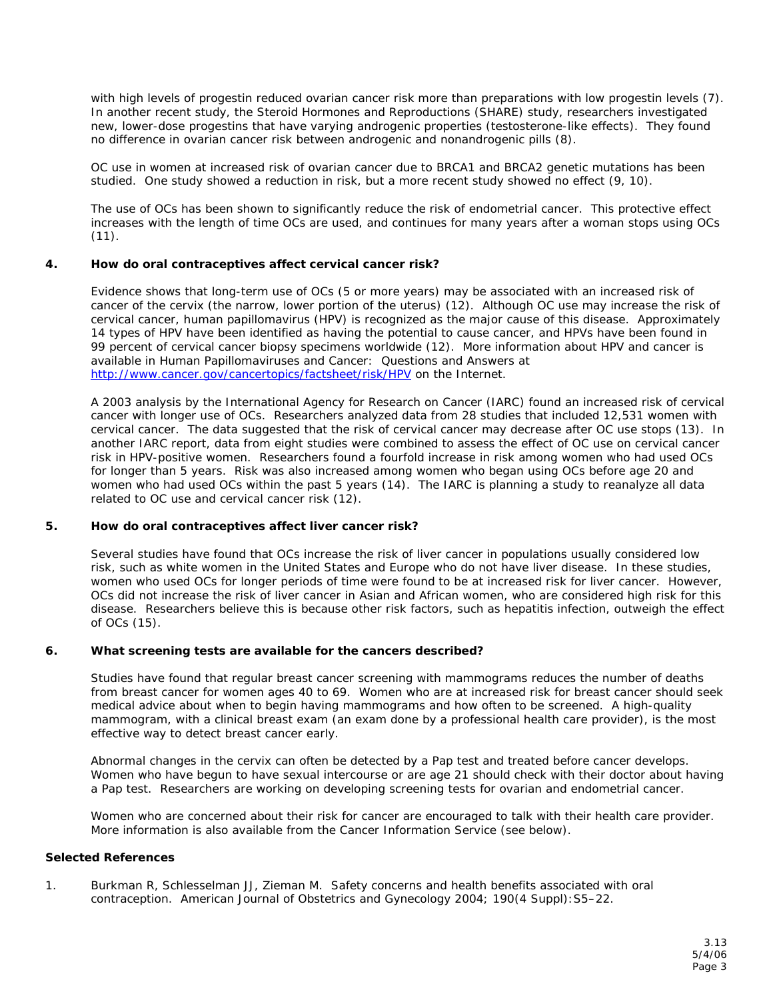with high levels of progestin reduced ovarian cancer risk more than preparations with low progestin levels (7). In another recent study, the Steroid Hormones and Reproductions (SHARE) study, researchers investigated new, lower-dose progestins that have varying androgenic properties (testosterone-like effects). They found no difference in ovarian cancer risk between androgenic and nonandrogenic pills (8).

OC use in women at increased risk of ovarian cancer due to BRCA1 and BRCA2 genetic mutations has been studied. One study showed a reduction in risk, but a more recent study showed no effect (9, 10).

 (11). The use of OCs has been shown to significantly reduce the risk of endometrial cancer. This protective effect increases with the length of time OCs are used, and continues for many years after a woman stops using OCs

#### **4. How do oral contraceptives affect cervical cancer risk?**

Evidence shows that long-term use of OCs (5 or more years) may be associated with an increased risk of cancer of the cervix (the narrow, lower portion of the uterus) (12). Although OC use may increase the risk of cervical cancer, human papillomavirus (HPV) is recognized as the major cause of this disease. Approximately 14 types of HPV have been identified as having the potential to cause cancer, and HPVs have been found in 99 percent of cervical cancer biopsy specimens worldwide (12). More information about HPV and cancer is available in *Human Papillomaviruses and Cancer: Questions and Answers* at http://www.cancer.gov/cancertopics/factsheet/risk/HPV on the Internet.

A 2003 analysis by the International Agency for Research on Cancer (IARC) found an increased risk of cervical cancer with longer use of OCs. Researchers analyzed data from 28 studies that included 12,531 women with cervical cancer. The data suggested that the risk of cervical cancer may decrease after OC use stops (13). In another IARC report, data from eight studies were combined to assess the effect of OC use on cervical cancer risk in HPV-positive women. Researchers found a fourfold increase in risk among women who had used OCs for longer than 5 years. Risk was also increased among women who began using OCs before age 20 and women who had used OCs within the past 5 years (14). The IARC is planning a study to reanalyze all data related to OC use and cervical cancer risk (12).

#### **5. How do oral contraceptives affect liver cancer risk?**

 of OCs (15). Several studies have found that OCs increase the risk of liver cancer in populations usually considered low risk, such as white women in the United States and Europe who do not have liver disease. In these studies, women who used OCs for longer periods of time were found to be at increased risk for liver cancer. However, OCs did not increase the risk of liver cancer in Asian and African women, who are considered high risk for this disease. Researchers believe this is because other risk factors, such as hepatitis infection, outweigh the effect

#### **6. What screening tests are available for the cancers described?**

Studies have found that regular breast cancer screening with mammograms reduces the number of deaths from breast cancer for women ages 40 to 69. Women who are at increased risk for breast cancer should seek medical advice about when to begin having mammograms and how often to be screened. A high-quality mammogram, with a clinical breast exam (an exam done by a professional health care provider), is the most effective way to detect breast cancer early.

Abnormal changes in the cervix can often be detected by a Pap test and treated before cancer develops. Women who have begun to have sexual intercourse or are age 21 should check with their doctor about having a Pap test. Researchers are working on developing screening tests for ovarian and endometrial cancer.

Women who are concerned about their risk for cancer are encouraged to talk with their health care provider.<br>More information is also available from the Cancer Information Service (see below).

## **Selected References**

1. Burkman R, Schlesselman JJ, Zieman M. Safety concerns and health benefits associated with oral contraception. *American Journal of Obstetrics and Gynecology* 2004; 190(4 Suppl):S5–22.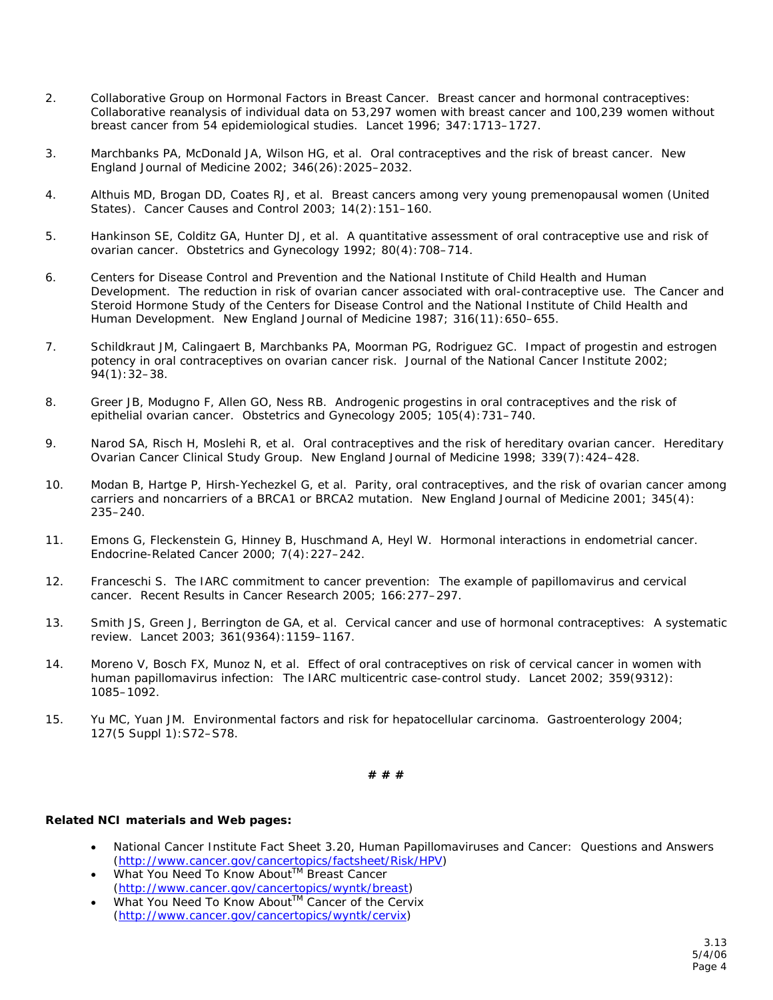- breast cancer from 54 epidemiological studies. *Lancet* 1996; 347:1713–1727. 2. Collaborative Group on Hormonal Factors in Breast Cancer. Breast cancer and hormonal contraceptives: Collaborative reanalysis of individual data on 53,297 women with breast cancer and 100,239 women without
- 3. Marchbanks PA, McDonald JA, Wilson HG, et al. Oral contraceptives and the risk of breast cancer. *New England Journal of Medicine* 2002; 346(26):2025–2032.
- 4. Althuis MD, Brogan DD, Coates RJ, et al. Breast cancers among very young premenopausal women (United States). *Cancer Causes and Control* 2003; 14(2):151–160.
- 5. Hankinson SE, Colditz GA, Hunter DJ, et al. A quantitative assessment of oral contraceptive use and risk of ovarian cancer. *Obstetrics and Gynecology* 1992; 80(4):708–714.
- 6. Centers for Disease Control and Prevention and the National Institute of Child Health and Human Development. The reduction in risk of ovarian cancer associated with oral-contraceptive use. The Cancer and Steroid Hormone Study of the Centers for Disease Control and the National Institute of Child Health and Human Development. *New England Journal of Medicine* 1987; 316(11):650–655.
- 7. Schildkraut JM, Calingaert B, Marchbanks PA, Moorman PG, Rodriguez GC. Impact of progestin and estrogen potency in oral contraceptives on ovarian cancer risk. *Journal of the National Cancer Institute* 2002; 94(1):32–38.
- 8. Greer JB, Modugno F, Allen GO, Ness RB. Androgenic progestins in oral contraceptives and the risk of epithelial ovarian cancer. *Obstetrics and Gynecology* 2005; 105(4):731–740.
- 9. Narod SA, Risch H, Moslehi R, et al. Oral contraceptives and the risk of hereditary ovarian cancer. Hereditary Ovarian Cancer Clinical Study Group. *New England Journal of Medicine* 1998; 339(7):424–428.
- 10. Modan B, Hartge P, Hirsh-Yechezkel G, et al. Parity, oral contraceptives, and the risk of ovarian cancer among carriers and noncarriers of a BRCA1 or BRCA2 mutation. *New England Journal of Medicine* 2001; 345(4): 235–240.
- 11. Emons G, Fleckenstein G, Hinney B, Huschmand A, Heyl W. Hormonal interactions in endometrial cancer. *Endocrine-Related Cancer* 2000; 7(4):227–242.
- 12. Franceschi S. The IARC commitment to cancer prevention: The example of papillomavirus and cervical cancer. *Recent Results in Cancer Research* 2005; 166:277–297.
- 13. Smith JS, Green J, Berrington de GA, et al. Cervical cancer and use of hormonal contraceptives: A systematic review. *Lancet* 2003; 361(9364):1159–1167.
- 14. Moreno V, Bosch FX, Munoz N, et al. Effect of oral contraceptives on risk of cervical cancer in women with human papillomavirus infection: The IARC multicentric case-control study. *Lancet* 2002; 359(9312): 1085–1092.
- 15. Yu MC, Yuan JM. Environmental factors and risk for hepatocellular carcinoma. *Gastroenterology* 2004; 127(5 Suppl 1):S72–S78.

## **# # #**

## **Related NCI materials and Web pages:**

- National Cancer Institute Fact Sheet 3.20, *Human Papillomaviruses and Cancer: Questions and Answers*  (http://www.cancer.gov/cancertopics/factsheet/Risk/HPV)
- *What You Need To Know AboutTM Breast Cancer*  (http://www.cancer.gov/cancertopics/wyntk/breast)
- *What You Need To Know AboutTM Cancer of the Cervix*  (http://www.cancer.gov/cancertopics/wyntk/cervix)